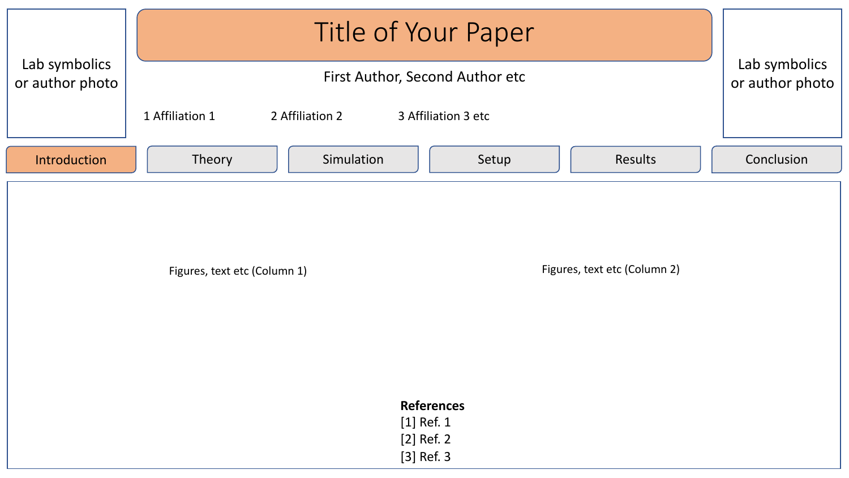|                                  | <b>Title of Your Paper</b>                                        |                                  |
|----------------------------------|-------------------------------------------------------------------|----------------------------------|
| Lab symbolics<br>or author photo | First Author, Second Author etc                                   | Lab symbolics<br>or author photo |
|                                  | 1 Affiliation 1<br>2 Affiliation 2<br>3 Affiliation 3 etc         |                                  |
| Introduction                     | Simulation<br>Results<br>Theory<br>Setup                          | Conclusion                       |
|                                  | Figures, text etc (Column 2)<br>Figures, text etc (Column 1)      |                                  |
|                                  | <b>References</b><br>$[1]$ Ref. 1<br>[2] Ref. 2<br>$[3]$ Ref. $3$ |                                  |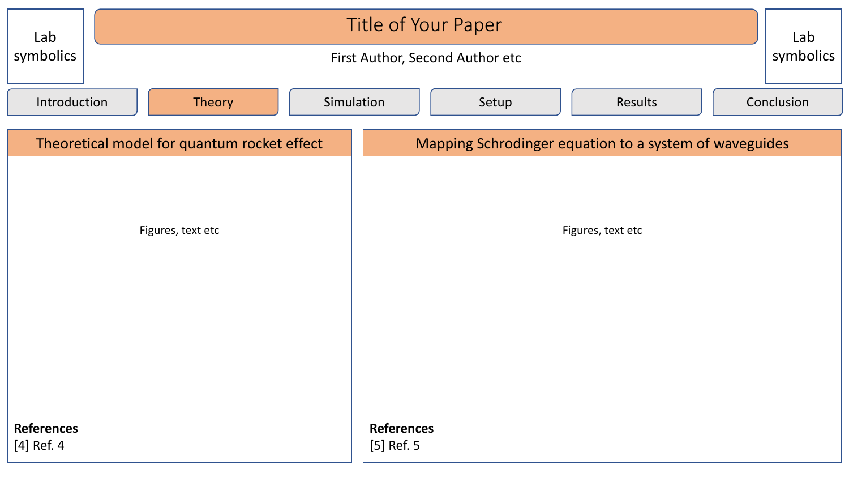| Lab                                         |                                      | Title of Your Paper             |  |                                                        |       |         |  |            |  |
|---------------------------------------------|--------------------------------------|---------------------------------|--|--------------------------------------------------------|-------|---------|--|------------|--|
| symbolics                                   |                                      | First Author, Second Author etc |  |                                                        |       |         |  |            |  |
|                                             | Introduction<br>Simulation<br>Theory |                                 |  |                                                        | Setup | Results |  | Conclusion |  |
| Theoretical model for quantum rocket effect |                                      |                                 |  | Mapping Schrodinger equation to a system of waveguides |       |         |  |            |  |
|                                             |                                      |                                 |  |                                                        |       |         |  |            |  |
| Figures, text etc                           |                                      |                                 |  | Figures, text etc                                      |       |         |  |            |  |
|                                             |                                      |                                 |  |                                                        |       |         |  |            |  |
|                                             |                                      |                                 |  |                                                        |       |         |  |            |  |
|                                             |                                      |                                 |  |                                                        |       |         |  |            |  |
|                                             |                                      |                                 |  |                                                        |       |         |  |            |  |
| <b>References</b>                           |                                      |                                 |  | <b>References</b>                                      |       |         |  |            |  |
| $[4]$ Ref. 4                                |                                      |                                 |  | [5] Ref. 5                                             |       |         |  |            |  |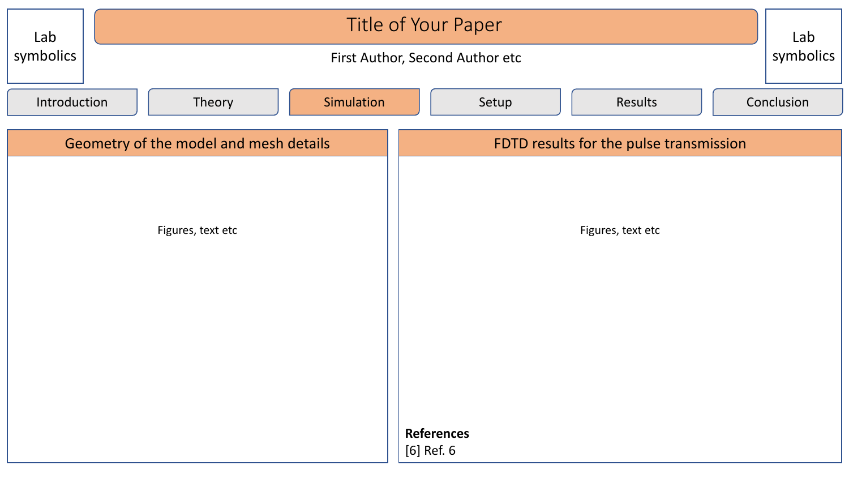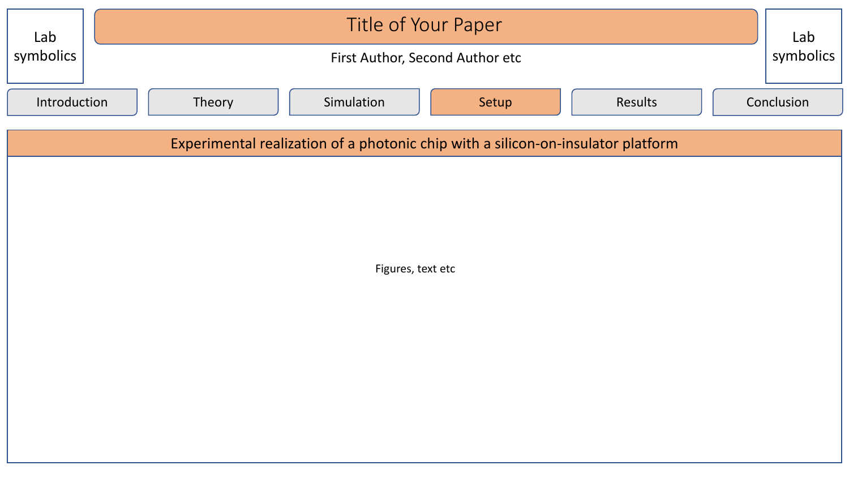| Lab<br>symbolics                                                                 | Title of Your Paper<br>symbolics<br>First Author, Second Author etc |            |  |  |  |  |  |
|----------------------------------------------------------------------------------|---------------------------------------------------------------------|------------|--|--|--|--|--|
| Introduction                                                                     | Simulation<br>Results<br>Theory<br>Setup                            | Conclusion |  |  |  |  |  |
| Experimental realization of a photonic chip with a silicon-on-insulator platform |                                                                     |            |  |  |  |  |  |
|                                                                                  |                                                                     |            |  |  |  |  |  |
|                                                                                  |                                                                     |            |  |  |  |  |  |
|                                                                                  |                                                                     |            |  |  |  |  |  |
| Figures, text etc                                                                |                                                                     |            |  |  |  |  |  |
|                                                                                  |                                                                     |            |  |  |  |  |  |
|                                                                                  |                                                                     |            |  |  |  |  |  |
|                                                                                  |                                                                     |            |  |  |  |  |  |
|                                                                                  |                                                                     |            |  |  |  |  |  |
|                                                                                  |                                                                     |            |  |  |  |  |  |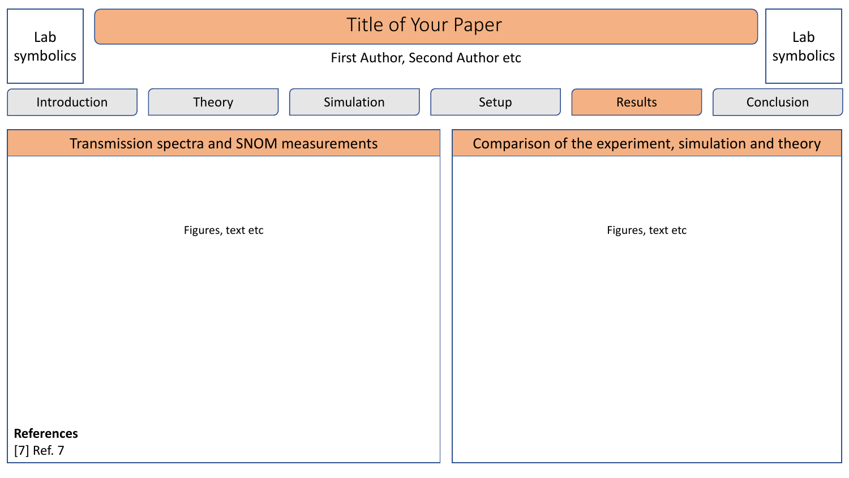| Lab                                        | Title of Your Paper |                                 |            |                                                     |       |         |  |            |
|--------------------------------------------|---------------------|---------------------------------|------------|-----------------------------------------------------|-------|---------|--|------------|
| symbolics                                  |                     | First Author, Second Author etc |            |                                                     |       |         |  |            |
| Introduction                               |                     | Theory                          | Simulation |                                                     | Setup | Results |  | Conclusion |
| Transmission spectra and SNOM measurements |                     |                                 |            | Comparison of the experiment, simulation and theory |       |         |  |            |
|                                            |                     |                                 |            |                                                     |       |         |  |            |
| Figures, text etc                          |                     |                                 |            | Figures, text etc                                   |       |         |  |            |
|                                            |                     |                                 |            |                                                     |       |         |  |            |
|                                            |                     |                                 |            |                                                     |       |         |  |            |
|                                            |                     |                                 |            |                                                     |       |         |  |            |
|                                            |                     |                                 |            |                                                     |       |         |  |            |
| <b>References</b>                          |                     |                                 |            |                                                     |       |         |  |            |
| [7] Ref. 7                                 |                     |                                 |            |                                                     |       |         |  |            |